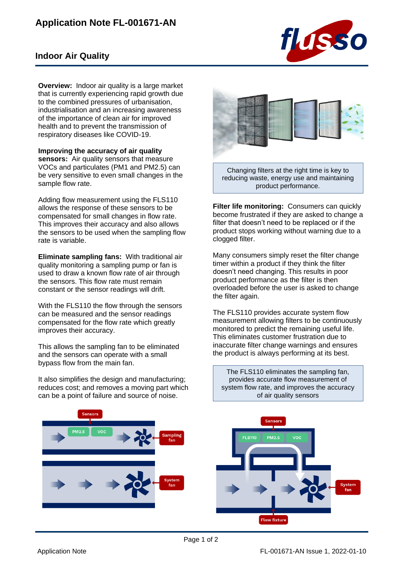## **Application Note FL-001671-AN**



## **Indoor Air Quality**

**Overview:** Indoor air quality is a large market that is currently experiencing rapid growth due to the combined pressures of urbanisation, industrialisation and an increasing awareness of the importance of clean air for improved health and to prevent the transmission of respiratory diseases like COVID-19.

**Improving the accuracy of air quality sensors:** Air quality sensors that measure VOCs and particulates (PM1 and PM2.5) can be very sensitive to even small changes in the sample flow rate.

Adding flow measurement using the FLS110 allows the response of these sensors to be compensated for small changes in flow rate. This improves their accuracy and also allows the sensors to be used when the sampling flow rate is variable.

**Eliminate sampling fans:** With traditional air quality monitoring a sampling pump or fan is used to draw a known flow rate of air through the sensors. This flow rate must remain constant or the sensor readings will drift.

With the FLS110 the flow through the sensors can be measured and the sensor readings compensated for the flow rate which greatly improves their accuracy.

This allows the sampling fan to be eliminated and the sensors can operate with a small bypass flow from the main fan.

It also simplifies the design and manufacturing; reduces cost; and removes a moving part which can be a point of failure and source of noise.





Changing filters at the right time is key to reducing waste, energy use and maintaining product performance.

**Filter life monitoring:** Consumers can quickly become frustrated if they are asked to change a filter that doesn't need to be replaced or if the product stops working without warning due to a clogged filter.

Many consumers simply reset the filter change timer within a product if they think the filter doesn't need changing. This results in poor product performance as the filter is then overloaded before the user is asked to change the filter again.

The FLS110 provides accurate system flow measurement allowing filters to be continuously monitored to predict the remaining useful life. This eliminates customer frustration due to inaccurate filter change warnings and ensures the product is always performing at its best.